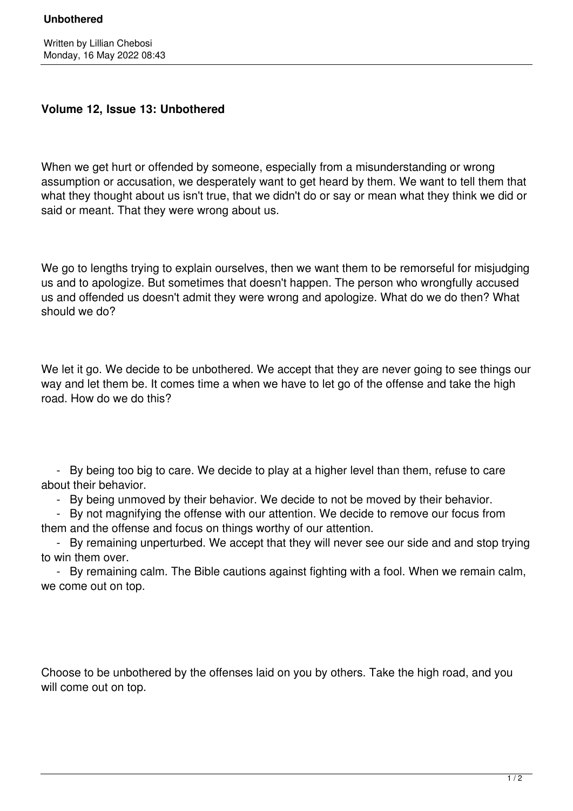## **Unbothered**

## **Volume 12, Issue 13: Unbothered**

When we get hurt or offended by someone, especially from a misunderstanding or wrong assumption or accusation, we desperately want to get heard by them. We want to tell them that what they thought about us isn't true, that we didn't do or say or mean what they think we did or said or meant. That they were wrong about us.

We go to lengths trying to explain ourselves, then we want them to be remorseful for misjudging us and to apologize. But sometimes that doesn't happen. The person who wrongfully accused us and offended us doesn't admit they were wrong and apologize. What do we do then? What should we do?

We let it go. We decide to be unbothered. We accept that they are never going to see things our way and let them be. It comes time a when we have to let go of the offense and take the high road. How do we do this?

 - By being too big to care. We decide to play at a higher level than them, refuse to care about their behavior.

- By being unmoved by their behavior. We decide to not be moved by their behavior.

 - By not magnifying the offense with our attention. We decide to remove our focus from them and the offense and focus on things worthy of our attention.

 - By remaining unperturbed. We accept that they will never see our side and and stop trying to win them over.

 - By remaining calm. The Bible cautions against fighting with a fool. When we remain calm, we come out on top.

Choose to be unbothered by the offenses laid on you by others. Take the high road, and you will come out on top.